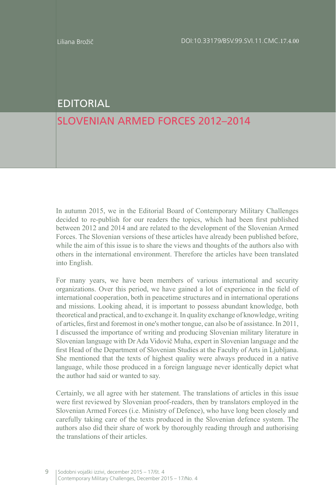## EDITORIAL

## SLOVENIAN ARMED FORCES 2012–2014

In autumn 2015, we in the Editorial Board of Contemporary Military Challenges decided to re-publish for our readers the topics, which had been first published between 2012 and 2014 and are related to the development of the Slovenian Armed Forces. The Slovenian versions of these articles have already been published before, while the aim of this issue is to share the views and thoughts of the authors also with others in the international environment. Therefore the articles have been translated into English.

For many years, we have been members of various international and security organizations. Over this period, we have gained a lot of experience in the field of international cooperation, both in peacetime structures and in international operations and missions. Looking ahead, it is important to possess abundant knowledge, both theoretical and practical, and to exchange it. In quality exchange of knowledge, writing of articles, first and foremost in one's mother tongue, can also be of assistance. In 2011, I discussed the importance of writing and producing Slovenian military literature in Slovenian language with Dr Ada Vidovič Muha, expert in Slovenian language and the first Head of the Department of Slovenian Studies at the Faculty of Arts in Ljubljana. She mentioned that the texts of highest quality were always produced in a native language, while those produced in a foreign language never identically depict what the author had said or wanted to say.

Certainly, we all agree with her statement. The translations of articles in this issue were first reviewed by Slovenian proof-readers, then by translators employed in the Slovenian Armed Forces (i.e. Ministry of Defence), who have long been closely and carefully taking care of the texts produced in the Slovenian defence system. The authors also did their share of work by thoroughly reading through and authorising the translations of their articles.